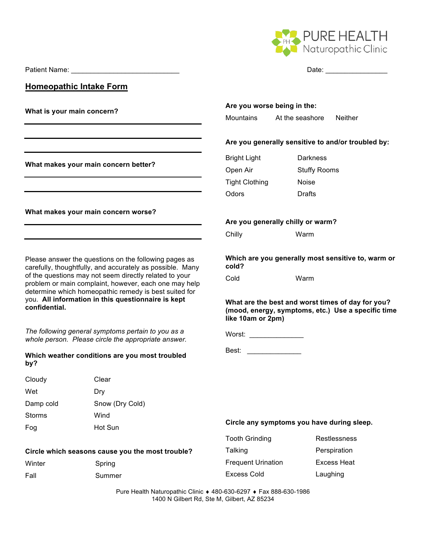Patient Name: <br>
Date:

**Homeopathic Intake Form**

**What is your main concern?**

**What makes your main concern better?**

**What makes your main concern worse?**

Please answer the questions on the following pages as carefully, thoughtfully, and accurately as possible. Many of the questions may not seem directly related to your problem or main complaint, however, each one may help determine which homeopathic remedy is best suited for you. **All information in this questionnaire is kept confidential.**

*The following general symptoms pertain to you as a whole person. Please circle the appropriate answer.*

#### **Which weather conditions are you most troubled by?**

**Circle which seasons cause you the most trouble?**

| Cloudy    | Clear           |
|-----------|-----------------|
| Wet       | Dry             |
| Damp cold | Snow (Dry Cold) |
| Storms    | Wind            |
| Fog       | Hot Sun         |

Winter Spring Fall Summer

PURE HEALTH Naturopathic Clinic

# **Are you worse being in the:**

Mountains At the seashore Neither

# **Are you generally sensitive to and/or troubled by:**

| <b>Bright Light</b>   | Darkness            |
|-----------------------|---------------------|
| Open Air              | <b>Stuffy Rooms</b> |
| <b>Tight Clothing</b> | Noise               |
| Odors                 | Drafts              |

## **Are you generally chilly or warm?**

Chilly Warm

**Which are you generally most sensitive to, warm or cold?**

Cold Warm

**What are the best and worst times of day for you? (mood, energy, symptoms, etc.) Use a specific time like 10am or 2pm)** 



Best: \_\_\_\_\_\_\_\_\_\_\_\_\_\_

#### **Circle any symptoms you have during sleep.**

| Talking                   | Perspiration       |
|---------------------------|--------------------|
| <b>Frequent Urination</b> | <b>Excess Heat</b> |
| Excess Cold               | Laughing           |

Tooth Grinding **Restlessness**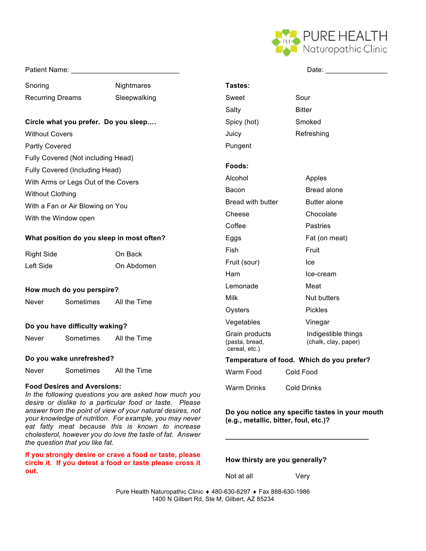

#### Patient Name:

Snoring Nightmares Recurring Dreams Sleepwalking

## **Circle what you prefer. Do you sleep….**

Without Covers

Partly Covered

- Fully Covered (Not including Head)
- Fully Covered (Including Head)
- With Arms or Legs Out of the Covers

Without Clothing

With a Fan or Air Blowing on You With the Window open

# **What position do you sleep in most often?**

| <b>Right Side</b> | On Back    |
|-------------------|------------|
| Left Side         | On Abdomen |

#### **How much do you perspire?**

Never Sometimes All the Time

#### **Do you have difficulty waking?**

| All the Time | Never | Sometimes |  |  |
|--------------|-------|-----------|--|--|
|--------------|-------|-----------|--|--|

#### **Do you wake unrefreshed?**

Never Sometimes All the Time

#### **Food Desires and Aversions:**

*In the following questions you are asked how much you desire or dislike to a particular food or taste. Please answer from the point of view of your natural desires, not your knowledge of nutrition. For example, you may never eat fatty meat because this is known to increase cholesterol, however you do love the taste of fat. Answer the question that you like fat.* 

**If you strongly desire or crave a food or taste, please circle it. If you detest a food or taste please cross it out.**

|                                                   | Date:                                       |  |  |  |
|---------------------------------------------------|---------------------------------------------|--|--|--|
| Tastes:                                           |                                             |  |  |  |
| Sweet                                             | Sour                                        |  |  |  |
| Salty                                             | Bitter                                      |  |  |  |
| Spicy (hot)                                       | Smoked                                      |  |  |  |
| Juicy                                             | Refreshing                                  |  |  |  |
| Pungent                                           |                                             |  |  |  |
| Foods:                                            |                                             |  |  |  |
| Alcohol                                           | Apples                                      |  |  |  |
| Bacon                                             | <b>Bread alone</b>                          |  |  |  |
| <b>Bread with butter</b>                          | <b>Butter alone</b>                         |  |  |  |
| Cheese                                            | Chocolate                                   |  |  |  |
| Coffee                                            | Pastries                                    |  |  |  |
| Eggs                                              | Fat (on meat)                               |  |  |  |
| Fish                                              | Fruit                                       |  |  |  |
| Fruit (sour)                                      | lce                                         |  |  |  |
| Ham                                               | Ice-cream                                   |  |  |  |
| Lemonade                                          | Meat                                        |  |  |  |
| Milk                                              | Nut butters                                 |  |  |  |
| Oysters                                           | Pickles                                     |  |  |  |
| Vegetables                                        | Vinegar                                     |  |  |  |
| Grain products<br>(pasta, bread,<br>cereal, etc.) | Indigestible things<br>(chalk, clay, paper) |  |  |  |
| Temperature of food. Which do you prefer?         |                                             |  |  |  |
| Warm Food                                         | Cold Food                                   |  |  |  |
| Warm Drinks                                       | <b>Cold Drinks</b>                          |  |  |  |

## **Do you notice any specific tastes in your mouth (e.g., metallic, bitter, foul, etc.)?**

**\_\_\_\_\_\_\_\_\_\_\_\_\_\_\_\_\_\_\_\_\_\_\_\_\_\_\_\_\_\_\_\_\_\_\_\_\_**

**How thirsty are you generally?**

Not at all **Very**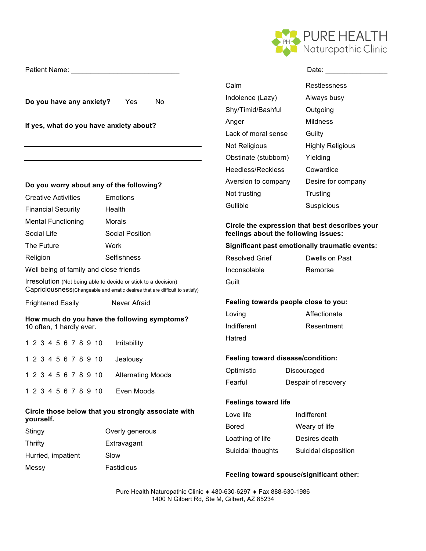

Patient Name: <br>
Date:

**Do you have any anxiety?** Yes No

**If yes, what do you have anxiety about?**

## **Do you worry about any of the following?**

| <b>Creative Activities</b> | Emotions        |
|----------------------------|-----------------|
| <b>Financial Security</b>  | Health          |
| <b>Mental Functioning</b>  | Morals          |
| Social Life                | Social Position |
| The Future                 | Work            |
| Religion                   | Selfishness     |

Well being of family and close friends

Irresolution (Not being able to decide or stick to a decision) Capriciousness(Changeable and erratic desires that are difficult to satisfy)

Frightened Easily Never Afraid

#### **How much do you have the following symptoms?** 10 often, 1 hardly ever.

|  |  |  |  | 1 2 3 4 5 6 7 8 9 10 Irritability      |
|--|--|--|--|----------------------------------------|
|  |  |  |  | 1 2 3 4 5 6 7 8 9 10 Jealousy          |
|  |  |  |  | 1 2 3 4 5 6 7 8 9 10 Alternating Moods |
|  |  |  |  | 1 2 3 4 5 6 7 8 9 10 Even Moods        |

## **Circle those below that you strongly associate with yourself.**

| Stingy             | Overly generous |
|--------------------|-----------------|
| Thrifty            | Extravagant     |
| Hurried, impatient | Slow            |
| Messy              | Fastidious      |

| Calm                 | Restlessness            |
|----------------------|-------------------------|
| Indolence (Lazy)     | Always busy             |
| Shy/Timid/Bashful    | Outgoing                |
| Anger                | Mildness                |
| Lack of moral sense  | Guilty                  |
| Not Religious        | <b>Highly Religious</b> |
| Obstinate (stubborn) | Yielding                |
| Heedless/Reckless    | Cowardice               |
| Aversion to company  | Desire for company      |
| Not trusting         | Trusting                |
| Gullible             | Suspicious              |
|                      |                         |

## **Circle the expression that best describes your feelings about the following issues:**

## **Significant past emotionally traumatic events:**

| Resolved Grief | Dwells on Past |
|----------------|----------------|
| Inconsolable   | Remorse        |
| Guilt          |                |

# **Feeling towards people close to you:**

| Loving      | Affectionate |
|-------------|--------------|
| Indifferent | Resentment   |
| Hatred      |              |

# **Feeling toward disease/condition:**

| Optimistic | Discouraged         |
|------------|---------------------|
| Fearful    | Despair of recovery |

# **Feelings toward life**

| Love life         | Indifferent          |
|-------------------|----------------------|
| Bored             | Weary of life        |
| Loathing of life  | Desires death        |
| Suicidal thoughts | Suicidal disposition |

# **Feeling toward spouse/significant other:**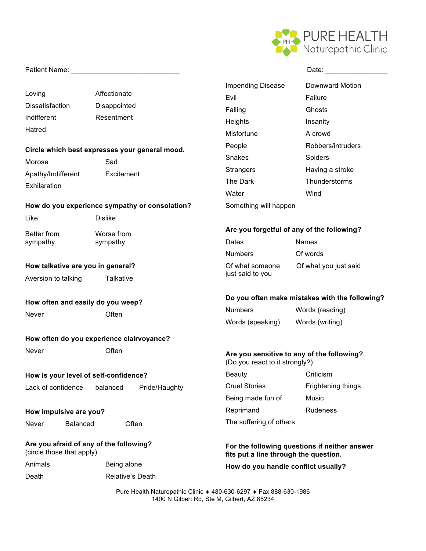

|                                                                 |                                                |                                                                              | Date: the contract of the contract of the contract of the contract of the contract of the contract of the contract of the contract of the contract of the contract of the contract of the contract of the contract of the cont |  |
|-----------------------------------------------------------------|------------------------------------------------|------------------------------------------------------------------------------|--------------------------------------------------------------------------------------------------------------------------------------------------------------------------------------------------------------------------------|--|
|                                                                 |                                                | <b>Impending Disease</b>                                                     | <b>Downward Motion</b>                                                                                                                                                                                                         |  |
| Loving                                                          | Affectionate                                   | Evil                                                                         | Failure                                                                                                                                                                                                                        |  |
| <b>Dissatisfaction</b>                                          | Disappointed                                   | Falling                                                                      | Ghosts                                                                                                                                                                                                                         |  |
| Indifferent                                                     | Resentment                                     | Heights                                                                      | Insanity                                                                                                                                                                                                                       |  |
| Hatred                                                          |                                                | Misfortune                                                                   | A crowd                                                                                                                                                                                                                        |  |
|                                                                 |                                                | People                                                                       | Robbers/intruders                                                                                                                                                                                                              |  |
| Circle which best expresses your general mood.<br>Sad<br>Morose |                                                | Snakes                                                                       | Spiders                                                                                                                                                                                                                        |  |
| Apathy/Indifferent                                              | Excitement                                     | Strangers                                                                    | Having a stroke                                                                                                                                                                                                                |  |
| Exhilaration                                                    |                                                | The Dark                                                                     | Thunderstorms                                                                                                                                                                                                                  |  |
|                                                                 |                                                | Water                                                                        | Wind                                                                                                                                                                                                                           |  |
|                                                                 | How do you experience sympathy or consolation? | Something will happen                                                        |                                                                                                                                                                                                                                |  |
| Like                                                            | <b>Dislike</b>                                 |                                                                              |                                                                                                                                                                                                                                |  |
| Better from<br>Worse from<br>sympathy<br>sympathy               |                                                | Are you forgetful of any of the following?                                   |                                                                                                                                                                                                                                |  |
|                                                                 |                                                | Dates                                                                        | <b>Names</b>                                                                                                                                                                                                                   |  |
|                                                                 | <b>Numbers</b>                                 | Of words                                                                     |                                                                                                                                                                                                                                |  |
| How talkative are you in general?                               |                                                | Of what someone                                                              | Of what you just said                                                                                                                                                                                                          |  |
| Aversion to talking                                             | Talkative                                      | just said to you                                                             |                                                                                                                                                                                                                                |  |
| How often and easily do you weep?                               |                                                | Do you often make mistakes with the following?                               |                                                                                                                                                                                                                                |  |
| Never                                                           | Often                                          | <b>Numbers</b>                                                               | Words (reading)                                                                                                                                                                                                                |  |
|                                                                 |                                                | Words (speaking)                                                             | Words (writing)                                                                                                                                                                                                                |  |
|                                                                 | How often do you experience clairvoyance?      |                                                                              |                                                                                                                                                                                                                                |  |
| Never                                                           | Often                                          | Are you sensitive to any of the following?<br>(Do you react to it strongly?) |                                                                                                                                                                                                                                |  |
|                                                                 | How is your level of self-confidence?          | <b>Beauty</b>                                                                | Criticism                                                                                                                                                                                                                      |  |
| Lack of confidence<br>balanced<br>Pride/Haughty                 |                                                | <b>Cruel Stories</b>                                                         | Frightening things                                                                                                                                                                                                             |  |
|                                                                 | Being made fun of                              | Music                                                                        |                                                                                                                                                                                                                                |  |
| How impulsive are you?                                          |                                                | Reprimand                                                                    | Rudeness                                                                                                                                                                                                                       |  |
| <b>Balanced</b><br>Never                                        | Often                                          | The suffering of others                                                      |                                                                                                                                                                                                                                |  |
| (circle those that apply)                                       | Are you afraid of any of the following?        | fits put a line through the question.                                        | For the following questions if neither answer                                                                                                                                                                                  |  |
| Animals                                                         | Being alone                                    | How do you handle conflict usually?                                          |                                                                                                                                                                                                                                |  |
| Death                                                           | <b>Relative's Death</b>                        |                                                                              |                                                                                                                                                                                                                                |  |